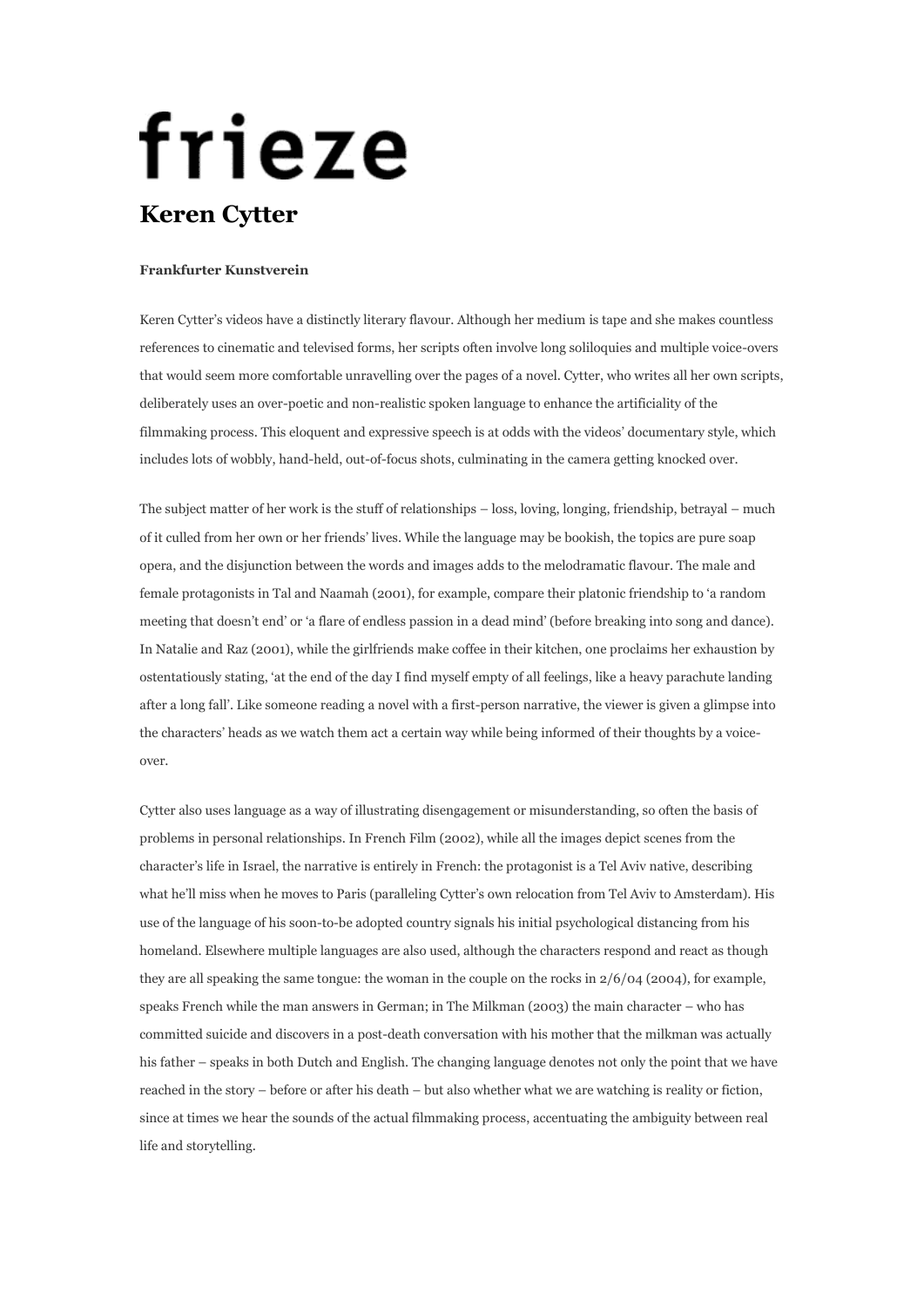## frieze **Keren Cytter**

## **Frankfurter Kunstverein**

Keren Cytter's videos have a distinctly literary flavour. Although her medium is tape and she makes countless references to cinematic and televised forms, her scripts often involve long soliloquies and multiple voice-overs that would seem more comfortable unravelling over the pages of a novel. Cytter, who writes all her own scripts, deliberately uses an over-poetic and non-realistic spoken language to enhance the artificiality of the filmmaking process. This eloquent and expressive speech is at odds with the videos' documentary style, which includes lots of wobbly, hand-held, out-of-focus shots, culminating in the camera getting knocked over.

The subject matter of her work is the stuff of relationships – loss, loving, longing, friendship, betrayal – much of it culled from her own or her friends' lives. While the language may be bookish, the topics are pure soap opera, and the disjunction between the words and images adds to the melodramatic flavour. The male and female protagonists in Tal and Naamah (2001), for example, compare their platonic friendship to 'a random meeting that doesn't end' or 'a flare of endless passion in a dead mind' (before breaking into song and dance). In Natalie and Raz (2001), while the girlfriends make coffee in their kitchen, one proclaims her exhaustion by ostentatiously stating, 'at the end of the day I find myself empty of all feelings, like a heavy parachute landing after a long fall'. Like someone reading a novel with a first-person narrative, the viewer is given a glimpse into the characters' heads as we watch them act a certain way while being informed of their thoughts by a voiceover.

Cytter also uses language as a way of illustrating disengagement or misunderstanding, so often the basis of problems in personal relationships. In French Film (2002), while all the images depict scenes from the character's life in Israel, the narrative is entirely in French: the protagonist is a Tel Aviv native, describing what he'll miss when he moves to Paris (paralleling Cytter's own relocation from Tel Aviv to Amsterdam). His use of the language of his soon-to-be adopted country signals his initial psychological distancing from his homeland. Elsewhere multiple languages are also used, although the characters respond and react as though they are all speaking the same tongue: the woman in the couple on the rocks in 2/6/04 (2004), for example, speaks French while the man answers in German; in The Milkman (2003) the main character – who has committed suicide and discovers in a post-death conversation with his mother that the milkman was actually his father – speaks in both Dutch and English. The changing language denotes not only the point that we have reached in the story – before or after his death – but also whether what we are watching is reality or fiction, since at times we hear the sounds of the actual filmmaking process, accentuating the ambiguity between real life and storytelling.